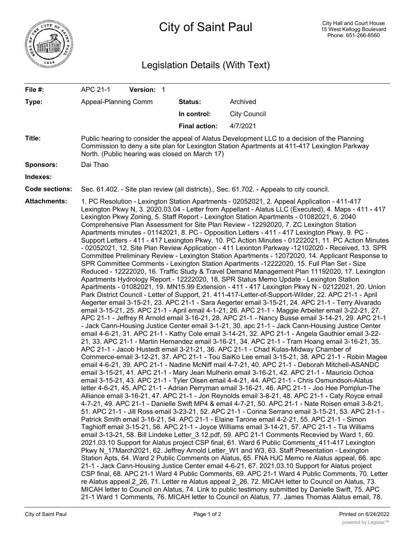

## Legislation Details (With Text)

| File #:               | APC 21-1                                                                                                                                                                                                                                                                                                                                                                                                                                                                                                                                                                                                                                                                                                                                                                                                                                                                                                                                                                                                                                                                                                                                                                                                                                                                                                                                                                                                                                                                                                                                                                                                                                                                                                                                                                                                                                                                                                                                                                                                                                                                                                                                                                                                                                                                                                                                                                                                                                                                                                                                                                                                                                                                                                                                                                                                                                                                                                                                                                                                                                                                                                                                                                                                                                                                                                                                                                                                                                                                                                                                                                                                                                                                                                                                                                                                                                                                                                                                                                                        | Version: 1 |                      |                     |  |  |
|-----------------------|-------------------------------------------------------------------------------------------------------------------------------------------------------------------------------------------------------------------------------------------------------------------------------------------------------------------------------------------------------------------------------------------------------------------------------------------------------------------------------------------------------------------------------------------------------------------------------------------------------------------------------------------------------------------------------------------------------------------------------------------------------------------------------------------------------------------------------------------------------------------------------------------------------------------------------------------------------------------------------------------------------------------------------------------------------------------------------------------------------------------------------------------------------------------------------------------------------------------------------------------------------------------------------------------------------------------------------------------------------------------------------------------------------------------------------------------------------------------------------------------------------------------------------------------------------------------------------------------------------------------------------------------------------------------------------------------------------------------------------------------------------------------------------------------------------------------------------------------------------------------------------------------------------------------------------------------------------------------------------------------------------------------------------------------------------------------------------------------------------------------------------------------------------------------------------------------------------------------------------------------------------------------------------------------------------------------------------------------------------------------------------------------------------------------------------------------------------------------------------------------------------------------------------------------------------------------------------------------------------------------------------------------------------------------------------------------------------------------------------------------------------------------------------------------------------------------------------------------------------------------------------------------------------------------------------------------------------------------------------------------------------------------------------------------------------------------------------------------------------------------------------------------------------------------------------------------------------------------------------------------------------------------------------------------------------------------------------------------------------------------------------------------------------------------------------------------------------------------------------------------------------------------------------------------------------------------------------------------------------------------------------------------------------------------------------------------------------------------------------------------------------------------------------------------------------------------------------------------------------------------------------------------------------------------------------------------------------------------------------------------------|------------|----------------------|---------------------|--|--|
| Type:                 | Appeal-Planning Comm                                                                                                                                                                                                                                                                                                                                                                                                                                                                                                                                                                                                                                                                                                                                                                                                                                                                                                                                                                                                                                                                                                                                                                                                                                                                                                                                                                                                                                                                                                                                                                                                                                                                                                                                                                                                                                                                                                                                                                                                                                                                                                                                                                                                                                                                                                                                                                                                                                                                                                                                                                                                                                                                                                                                                                                                                                                                                                                                                                                                                                                                                                                                                                                                                                                                                                                                                                                                                                                                                                                                                                                                                                                                                                                                                                                                                                                                                                                                                                            |            | Status:              | Archived            |  |  |
|                       |                                                                                                                                                                                                                                                                                                                                                                                                                                                                                                                                                                                                                                                                                                                                                                                                                                                                                                                                                                                                                                                                                                                                                                                                                                                                                                                                                                                                                                                                                                                                                                                                                                                                                                                                                                                                                                                                                                                                                                                                                                                                                                                                                                                                                                                                                                                                                                                                                                                                                                                                                                                                                                                                                                                                                                                                                                                                                                                                                                                                                                                                                                                                                                                                                                                                                                                                                                                                                                                                                                                                                                                                                                                                                                                                                                                                                                                                                                                                                                                                 |            | In control:          | <b>City Council</b> |  |  |
|                       |                                                                                                                                                                                                                                                                                                                                                                                                                                                                                                                                                                                                                                                                                                                                                                                                                                                                                                                                                                                                                                                                                                                                                                                                                                                                                                                                                                                                                                                                                                                                                                                                                                                                                                                                                                                                                                                                                                                                                                                                                                                                                                                                                                                                                                                                                                                                                                                                                                                                                                                                                                                                                                                                                                                                                                                                                                                                                                                                                                                                                                                                                                                                                                                                                                                                                                                                                                                                                                                                                                                                                                                                                                                                                                                                                                                                                                                                                                                                                                                                 |            | <b>Final action:</b> | 4/7/2021            |  |  |
| Title:                | Public hearing to consider the appeal of Alatus Development LLC to a decision of the Planning<br>Commission to deny a site plan for Lexington Station Apartments at 411-417 Lexington Parkway<br>North. (Public hearing was closed on March 17)                                                                                                                                                                                                                                                                                                                                                                                                                                                                                                                                                                                                                                                                                                                                                                                                                                                                                                                                                                                                                                                                                                                                                                                                                                                                                                                                                                                                                                                                                                                                                                                                                                                                                                                                                                                                                                                                                                                                                                                                                                                                                                                                                                                                                                                                                                                                                                                                                                                                                                                                                                                                                                                                                                                                                                                                                                                                                                                                                                                                                                                                                                                                                                                                                                                                                                                                                                                                                                                                                                                                                                                                                                                                                                                                                 |            |                      |                     |  |  |
| <b>Sponsors:</b>      | Dai Thao                                                                                                                                                                                                                                                                                                                                                                                                                                                                                                                                                                                                                                                                                                                                                                                                                                                                                                                                                                                                                                                                                                                                                                                                                                                                                                                                                                                                                                                                                                                                                                                                                                                                                                                                                                                                                                                                                                                                                                                                                                                                                                                                                                                                                                                                                                                                                                                                                                                                                                                                                                                                                                                                                                                                                                                                                                                                                                                                                                                                                                                                                                                                                                                                                                                                                                                                                                                                                                                                                                                                                                                                                                                                                                                                                                                                                                                                                                                                                                                        |            |                      |                     |  |  |
| Indexes:              |                                                                                                                                                                                                                                                                                                                                                                                                                                                                                                                                                                                                                                                                                                                                                                                                                                                                                                                                                                                                                                                                                                                                                                                                                                                                                                                                                                                                                                                                                                                                                                                                                                                                                                                                                                                                                                                                                                                                                                                                                                                                                                                                                                                                                                                                                                                                                                                                                                                                                                                                                                                                                                                                                                                                                                                                                                                                                                                                                                                                                                                                                                                                                                                                                                                                                                                                                                                                                                                                                                                                                                                                                                                                                                                                                                                                                                                                                                                                                                                                 |            |                      |                     |  |  |
| <b>Code sections:</b> | Sec. 61.402. - Site plan review (all districts)., Sec. 61.702. - Appeals to city council.                                                                                                                                                                                                                                                                                                                                                                                                                                                                                                                                                                                                                                                                                                                                                                                                                                                                                                                                                                                                                                                                                                                                                                                                                                                                                                                                                                                                                                                                                                                                                                                                                                                                                                                                                                                                                                                                                                                                                                                                                                                                                                                                                                                                                                                                                                                                                                                                                                                                                                                                                                                                                                                                                                                                                                                                                                                                                                                                                                                                                                                                                                                                                                                                                                                                                                                                                                                                                                                                                                                                                                                                                                                                                                                                                                                                                                                                                                       |            |                      |                     |  |  |
| <b>Attachments:</b>   | 1. PC Resolution - Lexington Station Apartments - 02052021, 2. Appeal Application - 411-417<br>Lexington Pkwy N, 3. 2020.03.04 - Letter from Appellant - Alatus LLC (Executed), 4. Maps - 411 - 417<br>Lexington Pkwy Zoning, 5. Staff Report - Lexington Station Apartments - 01082021, 6. 2040<br>Comprehensive Plan Assessment for Site Plan Review - 12292020, 7. ZC Lexington Station<br>Apartments minutes - 01142021, 8. PC - Opposition Letters - 411 - 417 Lexington Pkwy, 9. PC -<br>Support Letters - 411 - 417 Lexington Pkwy, 10. PC Action Minutes - 01222021, 11. PC Action Minutes<br>- 02052021, 12. Site Plan Review Application - 411 Lexinton Parkway -12102020 - Received, 13. SPR<br>Committee Preliminary Review - Lexington Station Apartments - 12072020, 14. Applicant Response to<br>SPR Committee Comments - Lexington Station Apartments -12222020, 15. Full Plan Set - Size<br>Reduced - 12222020, 16. Traffic Study & Travel Demand Management Plan 11192020, 17. Lexington<br>Apartments Hydrology Report - 12222020, 18. SPR Status Memo Update - Lexington Station<br>Apartments - 01082021, 19. MN15.99 Extension - 411 - 417 Lexington Pkwy N - 02122021, 20. Union<br>Park District Council - Letter of Support, 21. 411-417-Letter-of-Support-Wilder, 22. APC 21-1 - April<br>Aegerter email 3-15-21, 23. APC 21-1 - Sara Aegerter email 3-15-21, 24. APC 21-1 - Terry Alvarado<br>email 3-15-21, 25. APC 21-1 - April email 4-1-21, 26. APC 21-1 - Maggie Arbeiter email 3-22-21, 27.<br>APC 21-1 - Jeffrey R Arnold email 3-16-21, 28. APC 21-1 - Nancy Busse email 3-14-21, 29. APC 21-1<br>- Jack Cann-Housing Justice Center email 3-1-21, 30. apc 21-1 - Jack Cann-Housing Justice Center<br>email 4-6-21, 31. APC 21-1 - Kathy Cole email 3-14-21, 32. APC 21-1 - Angela Gauthier email 3-22-<br>21, 33. APC 21-1 - Martin Hernandez email 3-16-21, 34. APC 21-1 - Tram Hoang email 3-16-21, 35.<br>APC 21-1 - Jacob Hustedt email 3-21-21, 36. APC 21-1 - Chad Kulas-Midway Chamber of<br>Commerce-email 3-12-21, 37. APC 21-1 - Tou SaiKo Lee email 3-15-21, 38. APC 21-1 - Robin Magee<br>email 4-6-21, 39. APC 21-1 - Nadine McNiff mail 4-7-21, 40. APC 21-1 - Deborah Mitchell-ASANDC<br>email 3-15-21, 41. APC 21-1 - Mary Jean Mulherin email 3-16-21, 42. APC 21-1 - Mauricio Ochoa<br>email 3-15-21, 43. APC 21-1 - Tyler Olsen email 4-4-21, 44. APC 21-1 - Chris Osmundson-Alatus<br>letter 4-6-21, 45. APC 21-1 - Adrian Perryman email 3-16-21, 46. APC 21-1 - Joo Hee Pomplun-The<br>Alliance email 3-16-21, 47. APC 21-1 - Jon Reynolds email 3-8-21, 48. APC 21-1 - Caty Royce email<br>4-7-21, 49. APC 21-1 - Danielle Swift MP4 & email 4-7-21, 50. APC 21-1 - Nate Roisen email 3-8-21,<br>51. APC 21-1 - Jill Ross email 3-23-21, 52. APC 21-1 - Corina Serrano email 3-15-21, 53. APC 21-1 -<br>Patrick Smith email 3-16-21, 54. APC 21-1 - Elaine Tarone email 4-2-21, 55. APC 21-1 - Simon<br>Taghioff email 3-15-21, 56. APC 21-1 - Joyce Williams email 3-14-21, 57. APC 21-1 - Tia Williams<br>email 3-13-21, 58. Bill Lindeke Letter 3.12.pdf, 59. APC 21-1 Comments Recevied by Ward 1, 60.<br>2021.03.10 Support for Alatus project CSP final, 61. Ward 6 Public Comments 411-417 Lexington<br>Pkwy N_17March2021, 62. Jeffrey Arnold Letter_W1 and W3, 63. Staff Presentation - Lexington<br>Station Apts, 64. Ward 2 Public Comments on Alatus, 65. FNA HJC Memo re Alatus appeal, 66. apc<br>21-1 - Jack Cann-Housing Justice Center email 4-6-21, 67. 2021.03.10 Support for Alatus project<br>CSP final, 68. APC 21-1 Ward 4 Public Comments, 69. APC 21-1 Ward 4 Public Comments, 70. Letter<br>re Alatus appeal 2 26, 71. Letter re Alatus appeal 2 26, 72. MICAH letter to Council on Alatus, 73.<br>MICAH letter to Council on Alatus, 74. Link to public testimony submitted by Danielle Swift, 75. APC<br>21-1 Ward 1 Comments, 76. MICAH letter to Council on Alatus, 77. James Thomas Alatus email, 78. |            |                      |                     |  |  |